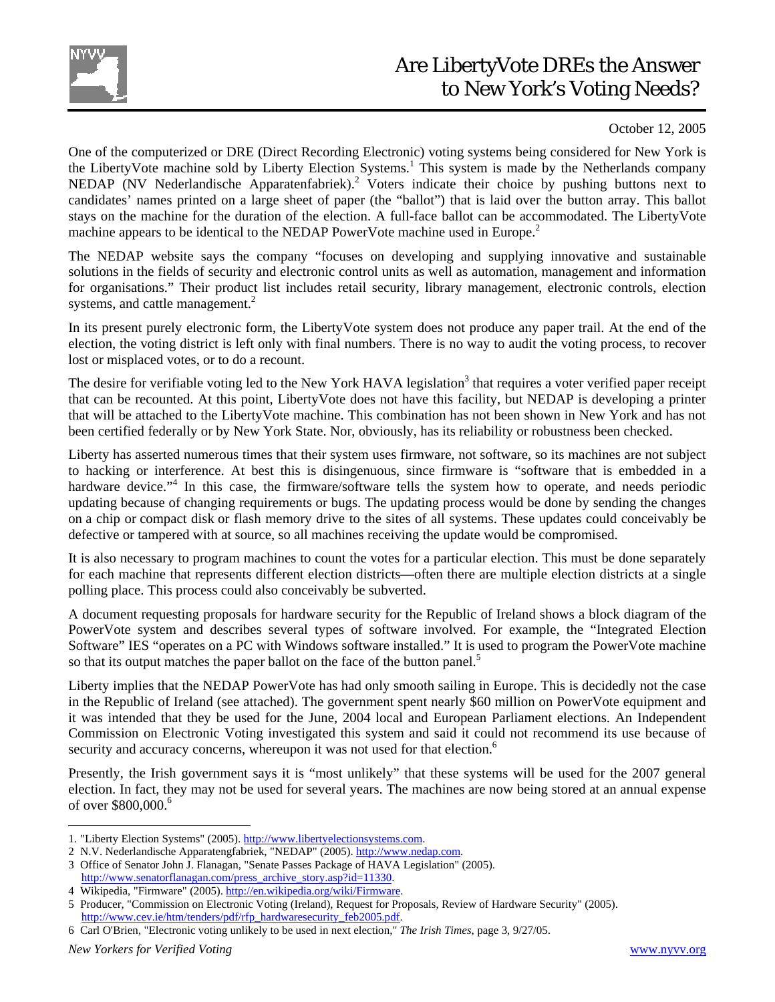

## Are LibertyVote DREs the Answer to New York's Voting Needs?

## October 12, 2005

One of the computerized or DRE (Direct Recording Electronic) voting systems being considered for New York is the LibertyVote machine sold by Liberty Election Systems.<sup>1</sup> This system is made by the Netherlands company NEDAP (NV Nederlandische Apparatenfabriek).<sup>2</sup> Voters indicate their choice by pushing buttons next to candidates' names printed on a large sheet of paper (the "ballot") that is laid over the button array. This ballot stays on the machine for the duration of the election. A full-face ballot can be accommodated. The LibertyVote machine appears to be identical to the NEDAP PowerVote machine used in Europe.<sup>2</sup>

The NEDAP website says the company "focuses on developing and supplying innovative and sustainable solutions in the fields of security and electronic control units as well as automation, management and information for organisations." Their product list includes retail security, library management, electronic controls, election systems, and cattle management.<sup>2</sup>

In its present purely electronic form, the LibertyVote system does not produce any paper trail. At the end of the election, the voting district is left only with final numbers. There is no way to audit the voting process, to recover lost or misplaced votes, or to do a recount.

The desire for verifiable voting led to the New York HAVA legislation<sup>3</sup> that requires a voter verified paper receipt that can be recounted. At this point, LibertyVote does not have this facility, but NEDAP is developing a printer that will be attached to the LibertyVote machine. This combination has not been shown in New York and has not been certified federally or by New York State. Nor, obviously, has its reliability or robustness been checked.

Liberty has asserted numerous times that their system uses firmware, not software, so its machines are not subject to hacking or interference. At best this is disingenuous, since firmware is "software that is embedded in a hardware device."<sup>4</sup> In this case, the firmware/software tells the system how to operate, and needs periodic updating because of changing requirements or bugs. The updating process would be done by sending the changes on a chip or compact disk or flash memory drive to the sites of all systems. These updates could conceivably be defective or tampered with at source, so all machines receiving the update would be compromised.

It is also necessary to program machines to count the votes for a particular election. This must be done separately for each machine that represents different election districts—often there are multiple election districts at a single polling place. This process could also conceivably be subverted.

A document requesting proposals for hardware security for the Republic of Ireland shows a block diagram of the PowerVote system and describes several types of software involved. For example, the "Integrated Election Software" IES "operates on a PC with Windows software installed." It is used to program the PowerVote machine so that its output matches the paper ballot on the face of the button panel.<sup>5</sup>

Liberty implies that the NEDAP PowerVote has had only smooth sailing in Europe. This is decidedly not the case in the Republic of Ireland (see attached). The government spent nearly \$60 million on PowerVote equipment and it was intended that they be used for the June, 2004 local and European Parliament elections. An Independent Commission on Electronic Voting investigated this system and said it could not recommend its use because of security and accuracy concerns, whereupon it was not used for that election.<sup>6</sup>

Presently, the Irish government says it is "most unlikely" that these systems will be used for the 2007 general election. In fact, they may not be used for several years. The machines are now being stored at an annual expense of over  $$800,000.^6$ 

 $\overline{a}$ 

<sup>1. &</sup>quot;Liberty Election Systems" (2005). http://www.libertyelectionsystems.com.

<sup>2</sup> N.V. Nederlandische Apparatengfabriek, "NEDAP" (2005). http://www.nedap.com.

<sup>3</sup> Office of Senator John J. Flanagan, "Senate Passes Package of HAVA Legislation" (2005).

http://www.senatorflanagan.com/press\_archive\_story.asp?id=11330.

<sup>4</sup> Wikipedia, "Firmware" (2005). http://en.wikipedia.org/wiki/Firmware.

<sup>5</sup> Producer, "Commission on Electronic Voting (Ireland), Request for Proposals, Review of Hardware Security" (2005). http://www.cev.ie/htm/tenders/pdf/rfp\_hardwaresecurity\_feb2005.pdf.

<sup>6</sup> Carl O'Brien, "Electronic voting unlikely to be used in next election," *The Irish Times*, page 3, 9/27/05.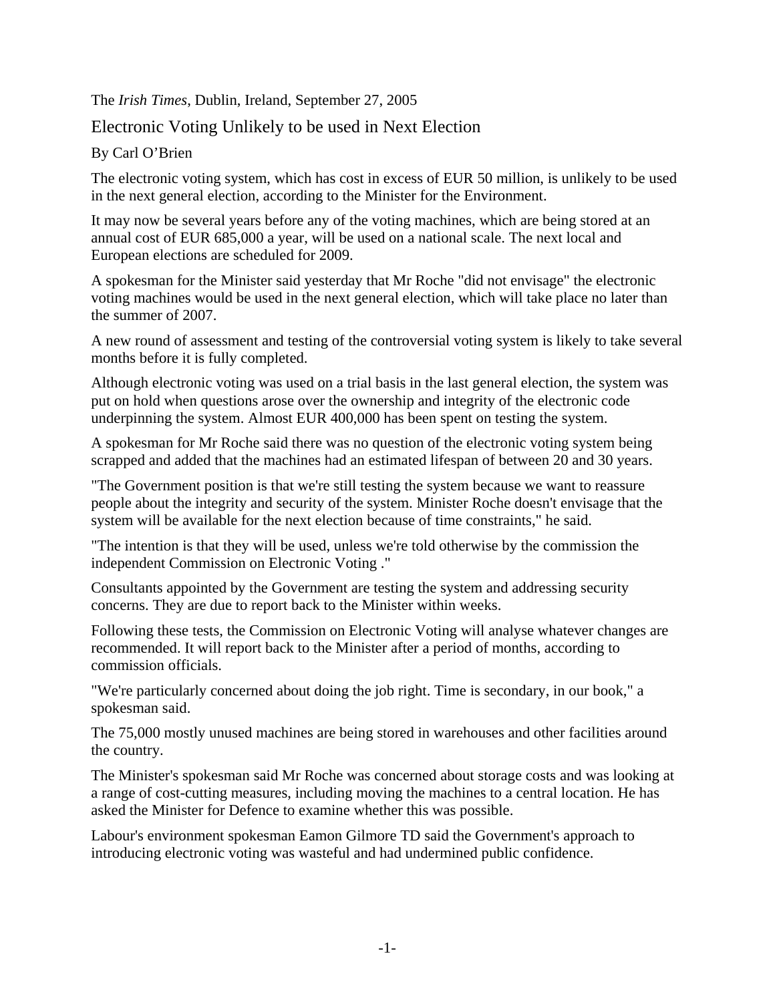The *Irish Times*, Dublin, Ireland, September 27, 2005

## Electronic Voting Unlikely to be used in Next Election

## By Carl O'Brien

The electronic voting system, which has cost in excess of EUR 50 million, is unlikely to be used in the next general election, according to the Minister for the Environment.

It may now be several years before any of the voting machines, which are being stored at an annual cost of EUR 685,000 a year, will be used on a national scale. The next local and European elections are scheduled for 2009.

A spokesman for the Minister said yesterday that Mr Roche "did not envisage" the electronic voting machines would be used in the next general election, which will take place no later than the summer of 2007.

A new round of assessment and testing of the controversial voting system is likely to take several months before it is fully completed.

Although electronic voting was used on a trial basis in the last general election, the system was put on hold when questions arose over the ownership and integrity of the electronic code underpinning the system. Almost EUR 400,000 has been spent on testing the system.

A spokesman for Mr Roche said there was no question of the electronic voting system being scrapped and added that the machines had an estimated lifespan of between 20 and 30 years.

"The Government position is that we're still testing the system because we want to reassure people about the integrity and security of the system. Minister Roche doesn't envisage that the system will be available for the next election because of time constraints," he said.

"The intention is that they will be used, unless we're told otherwise by the commission the independent Commission on Electronic Voting ."

Consultants appointed by the Government are testing the system and addressing security concerns. They are due to report back to the Minister within weeks.

Following these tests, the Commission on Electronic Voting will analyse whatever changes are recommended. It will report back to the Minister after a period of months, according to commission officials.

"We're particularly concerned about doing the job right. Time is secondary, in our book," a spokesman said.

The 75,000 mostly unused machines are being stored in warehouses and other facilities around the country.

The Minister's spokesman said Mr Roche was concerned about storage costs and was looking at a range of cost-cutting measures, including moving the machines to a central location. He has asked the Minister for Defence to examine whether this was possible.

Labour's environment spokesman Eamon Gilmore TD said the Government's approach to introducing electronic voting was wasteful and had undermined public confidence.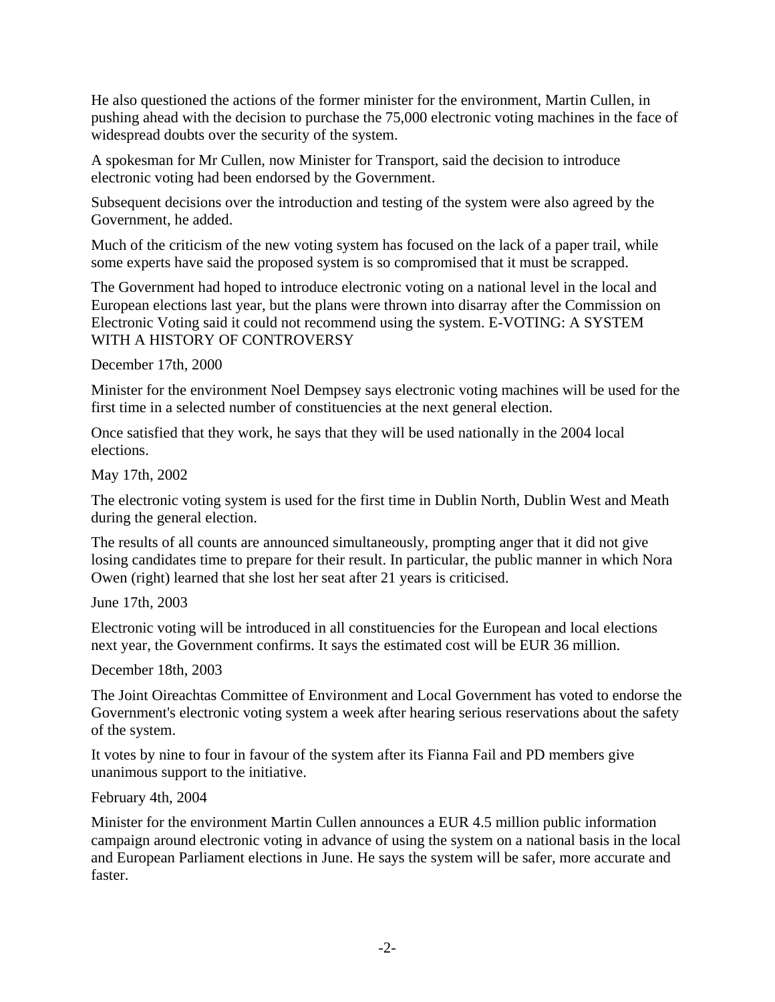He also questioned the actions of the former minister for the environment, Martin Cullen, in pushing ahead with the decision to purchase the 75,000 electronic voting machines in the face of widespread doubts over the security of the system.

A spokesman for Mr Cullen, now Minister for Transport, said the decision to introduce electronic voting had been endorsed by the Government.

Subsequent decisions over the introduction and testing of the system were also agreed by the Government, he added.

Much of the criticism of the new voting system has focused on the lack of a paper trail, while some experts have said the proposed system is so compromised that it must be scrapped.

The Government had hoped to introduce electronic voting on a national level in the local and European elections last year, but the plans were thrown into disarray after the Commission on Electronic Voting said it could not recommend using the system. E-VOTING: A SYSTEM WITH A HISTORY OF CONTROVERSY

December 17th, 2000

Minister for the environment Noel Dempsey says electronic voting machines will be used for the first time in a selected number of constituencies at the next general election.

Once satisfied that they work, he says that they will be used nationally in the 2004 local elections.

May 17th, 2002

The electronic voting system is used for the first time in Dublin North, Dublin West and Meath during the general election.

The results of all counts are announced simultaneously, prompting anger that it did not give losing candidates time to prepare for their result. In particular, the public manner in which Nora Owen (right) learned that she lost her seat after 21 years is criticised.

June 17th, 2003

Electronic voting will be introduced in all constituencies for the European and local elections next year, the Government confirms. It says the estimated cost will be EUR 36 million.

December 18th, 2003

The Joint Oireachtas Committee of Environment and Local Government has voted to endorse the Government's electronic voting system a week after hearing serious reservations about the safety of the system.

It votes by nine to four in favour of the system after its Fianna Fail and PD members give unanimous support to the initiative.

February 4th, 2004

Minister for the environment Martin Cullen announces a EUR 4.5 million public information campaign around electronic voting in advance of using the system on a national basis in the local and European Parliament elections in June. He says the system will be safer, more accurate and faster.